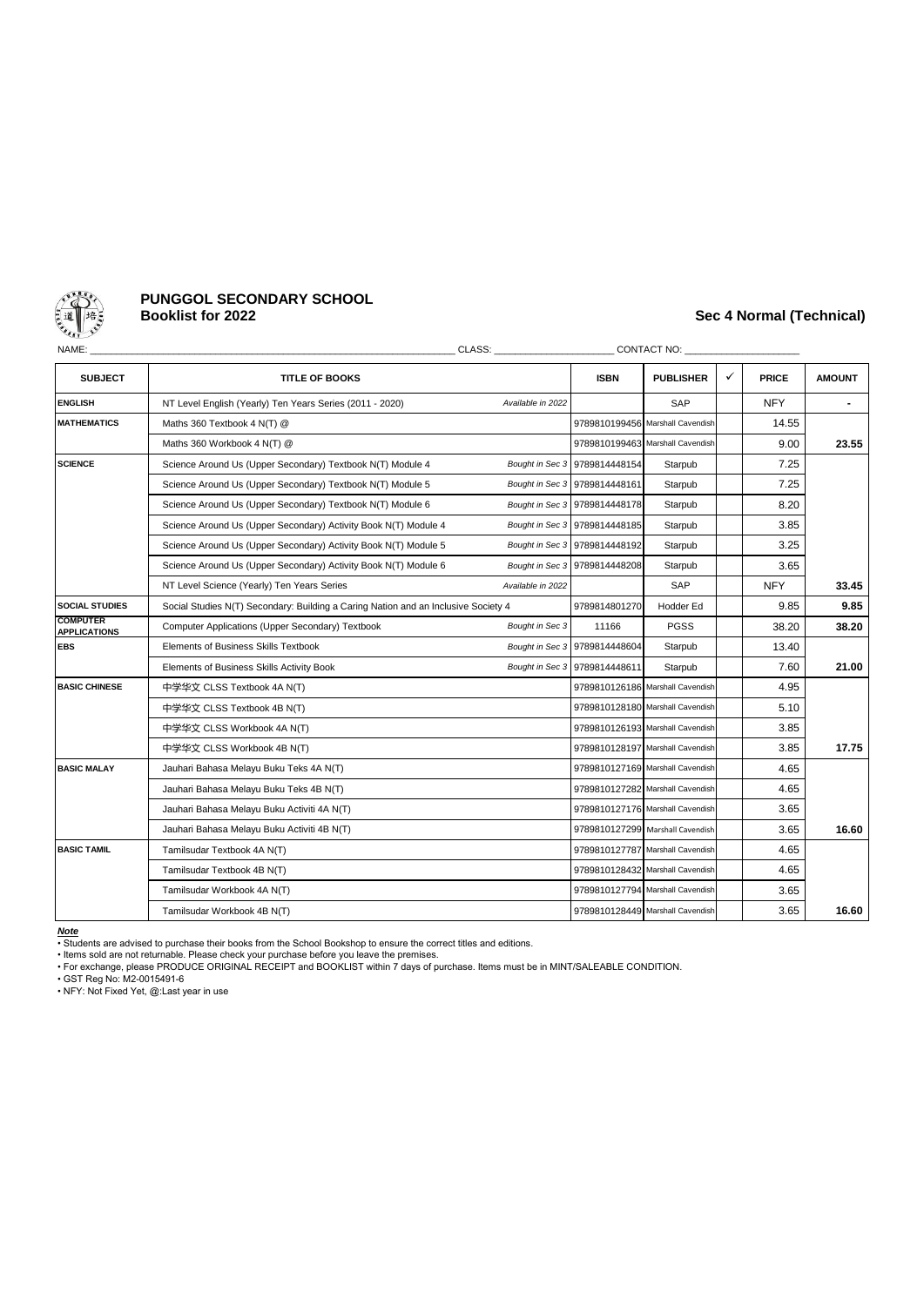

# **PUNGGOL SECONDARY SCHOOL**

## **Booklist for 2022 Sec 4 Normal (Technical)**

| NAME:                                  |                                                                                    | CLASS: Annual Secretary of the Secretary of the Secretary of the Secretary of the Secretary of the Secretary of the Secretary of the Secretary of the Secretary of the Secretary of the Secretary of the Secretary of the Secr |                               |                                  |              |              |               |
|----------------------------------------|------------------------------------------------------------------------------------|--------------------------------------------------------------------------------------------------------------------------------------------------------------------------------------------------------------------------------|-------------------------------|----------------------------------|--------------|--------------|---------------|
| <b>SUBJECT</b>                         | <b>TITLE OF BOOKS</b>                                                              |                                                                                                                                                                                                                                | <b>ISBN</b>                   | <b>PUBLISHER</b>                 | $\checkmark$ | <b>PRICE</b> | <b>AMOUNT</b> |
| <b>ENGLISH</b>                         | NT Level English (Yearly) Ten Years Series (2011 - 2020)                           | Available in 2022                                                                                                                                                                                                              |                               | SAP                              |              | <b>NFY</b>   |               |
| <b>MATHEMATICS</b>                     | Maths 360 Textbook 4 N(T) @                                                        | 9789810199456                                                                                                                                                                                                                  | Marshall Cavendish            |                                  | 14.55        |              |               |
|                                        | Maths 360 Workbook 4 N(T) @                                                        |                                                                                                                                                                                                                                |                               | 9789810199463 Marshall Cavendish |              | 9.00         | 23.55         |
| <b>SCIENCE</b>                         | Science Around Us (Upper Secondary) Textbook N(T) Module 4                         |                                                                                                                                                                                                                                | Bought in Sec 3 9789814448154 | Starpub                          |              | 7.25         |               |
|                                        | Science Around Us (Upper Secondary) Textbook N(T) Module 5                         |                                                                                                                                                                                                                                | Bought in Sec 3 9789814448161 | Starpub                          |              | 7.25         |               |
|                                        | Science Around Us (Upper Secondary) Textbook N(T) Module 6                         |                                                                                                                                                                                                                                | Bought in Sec 3 9789814448178 | Starpub                          |              | 8.20         |               |
|                                        | Science Around Us (Upper Secondary) Activity Book N(T) Module 4                    |                                                                                                                                                                                                                                | Bought in Sec 3 9789814448185 | Starpub                          |              | 3.85         |               |
|                                        | Science Around Us (Upper Secondary) Activity Book N(T) Module 5                    |                                                                                                                                                                                                                                | Bought in Sec 3 9789814448192 | Starpub                          |              | 3.25         |               |
|                                        | Science Around Us (Upper Secondary) Activity Book N(T) Module 6                    |                                                                                                                                                                                                                                | Bought in Sec 3 9789814448208 | Starpub                          |              | 3.65         |               |
|                                        | NT Level Science (Yearly) Ten Years Series                                         | Available in 2022                                                                                                                                                                                                              |                               | SAP                              |              | <b>NFY</b>   | 33.45         |
| <b>SOCIAL STUDIES</b>                  | Social Studies N(T) Secondary: Building a Caring Nation and an Inclusive Society 4 |                                                                                                                                                                                                                                | 9789814801270                 | Hodder Ed                        |              | 9.85         | 9.85          |
| <b>COMPUTER</b><br><b>APPLICATIONS</b> | Computer Applications (Upper Secondary) Textbook                                   | Bought in Sec 3                                                                                                                                                                                                                | 11166                         | <b>PGSS</b>                      |              | 38.20        | 38.20         |
| <b>EBS</b>                             | <b>Elements of Business Skills Textbook</b>                                        |                                                                                                                                                                                                                                | Bought in Sec 3 9789814448604 | Starpub                          |              | 13.40        |               |
|                                        | Elements of Business Skills Activity Book                                          |                                                                                                                                                                                                                                | Bought in Sec 3 9789814448611 | Starpub                          |              | 7.60         | 21.00         |
| <b>BASIC CHINESE</b>                   | 中学华文 CLSS Textbook 4A N(T)                                                         |                                                                                                                                                                                                                                |                               | 9789810126186 Marshall Cavendish |              | 4.95         |               |
|                                        | 中学华文 CLSS Textbook 4B N(T)                                                         |                                                                                                                                                                                                                                |                               | 9789810128180 Marshall Cavendish |              | 5.10         |               |
|                                        | 中学华文 CLSS Workbook 4A N(T)                                                         |                                                                                                                                                                                                                                |                               | 9789810126193 Marshall Cavendish |              | 3.85         |               |
|                                        | 中学华文 CLSS Workbook 4B N(T)                                                         |                                                                                                                                                                                                                                |                               | 9789810128197 Marshall Cavendish |              | 3.85         | 17.75         |
| <b>BASIC MALAY</b>                     | Jauhari Bahasa Melayu Buku Teks 4A N(T)                                            |                                                                                                                                                                                                                                |                               | 9789810127169 Marshall Cavendish |              | 4.65         |               |
|                                        | Jauhari Bahasa Melayu Buku Teks 4B N(T)                                            |                                                                                                                                                                                                                                |                               | 9789810127282 Marshall Cavendish |              | 4.65         |               |
|                                        | Jauhari Bahasa Melayu Buku Activiti 4A N(T)                                        |                                                                                                                                                                                                                                |                               | 9789810127176 Marshall Cavendish |              | 3.65         |               |
|                                        | Jauhari Bahasa Melayu Buku Activiti 4B N(T)                                        |                                                                                                                                                                                                                                |                               | 9789810127299 Marshall Cavendish |              | 3.65         | 16.60         |
| <b>BASIC TAMIL</b>                     | Tamilsudar Textbook 4A N(T)                                                        |                                                                                                                                                                                                                                |                               | 9789810127787 Marshall Cavendish |              | 4.65         |               |
|                                        | Tamilsudar Textbook 4B N(T)                                                        |                                                                                                                                                                                                                                |                               | 9789810128432 Marshall Cavendish |              | 4.65         |               |
|                                        | Tamilsudar Workbook 4A N(T)                                                        |                                                                                                                                                                                                                                |                               | 9789810127794 Marshall Cavendish |              | 3.65         |               |
|                                        | Tamilsudar Workbook 4B N(T)                                                        |                                                                                                                                                                                                                                |                               | 9789810128449 Marshall Cavendish |              | 3.65         | 16.60         |

*Note* • Students are advised to purchase their books from the School Bookshop to ensure the correct titles and editions.

• Items sold are not returnable. Please check your purchase before you leave the premises. • For exchange, please PRODUCE ORIGINAL RECEIPT and BOOKLIST within 7 days of purchase. Items must be in MINT/SALEABLE CONDITION.

• GST Reg No: M2-0015491-6 • NFY: Not Fixed Yet, @:Last year in use